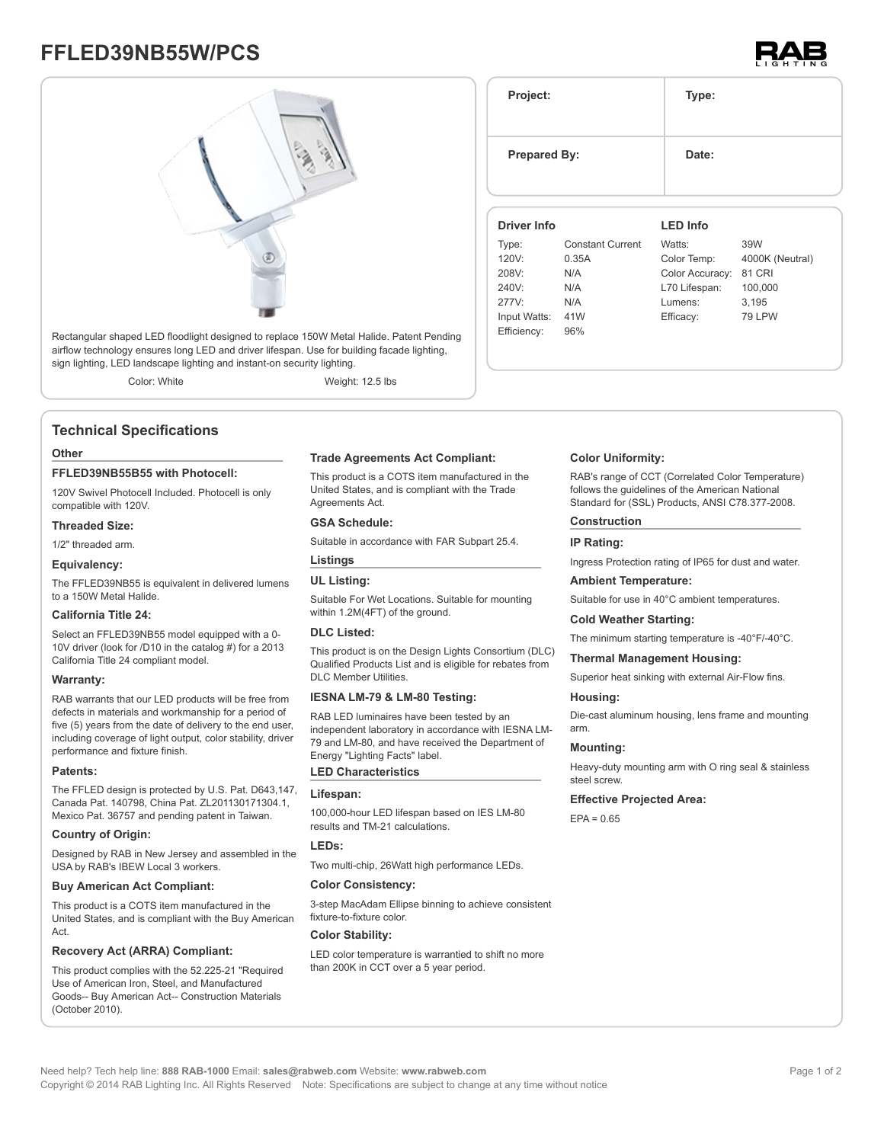# **FFLED39NB55W/PCS**





Rectangular shaped LED floodlight designed to replace 150W Metal Halide. Patent Pending airflow technology ensures long LED and driver lifespan. Use for building facade lighting, sign lighting, LED landscape lighting and instant-on security lighting.

Color: White Weight: 12.5 lbs

### **Technical Specifications**

#### **Other**

#### **FFLED39NB55B55 with Photocell:**

120V Swivel Photocell Included. Photocell is only compatible with 120V.

#### **Threaded Size:**

#### 1/2" threaded arm.

**Equivalency:**

The FFLED39NB55 is equivalent in delivered lumens to a 150W Metal Halide.

#### **California Title 24:**

Select an FFLED39NB55 model equipped with a 0- 10V driver (look for /D10 in the catalog #) for a 2013 California Title 24 compliant model.

#### **Warranty:**

RAB warrants that our LED products will be free from defects in materials and workmanship for a period of five (5) years from the date of delivery to the end user, including coverage of light output, color stability, driver performance and fixture finish.

#### **Patents:**

The FFLED design is protected by U.S. Pat. D643,147, Canada Pat. 140798, China Pat. ZL201130171304.1, Mexico Pat. 36757 and pending patent in Taiwan.

#### **Country of Origin:**

Designed by RAB in New Jersey and assembled in the USA by RAB's IBEW Local 3 workers.

#### **Buy American Act Compliant:**

This product is a COTS item manufactured in the United States, and is compliant with the Buy American Act.

#### **Recovery Act (ARRA) Compliant:**

This product complies with the 52.225-21 "Required Use of American Iron, Steel, and Manufactured Goods-- Buy American Act-- Construction Materials (October 2010).

#### **Trade Agreements Act Compliant:**

This product is a COTS item manufactured in the United States, and is compliant with the Trade Agreements Act.

#### **GSA Schedule:**

Suitable in accordance with FAR Subpart 25.4.

#### **Listings**

#### **UL Listing:**

Suitable For Wet Locations. Suitable for mounting within 1.2M(4FT) of the ground.

#### **DLC Listed:**

This product is on the Design Lights Consortium (DLC) Qualified Products List and is eligible for rebates from DLC Member Utilities.

#### **IESNA LM-79 & LM-80 Testing:**

RAB LED luminaires have been tested by an independent laboratory in accordance with IESNA LM-79 and LM-80, and have received the Department of Energy "Lighting Facts" label.

#### **LED Characteristics**

#### **Lifespan:**

100,000-hour LED lifespan based on IES LM-80 results and TM-21 calculations.

#### **LEDs:**

Two multi-chip, 26Watt high performance LEDs.

#### **Color Consistency:**

3-step MacAdam Ellipse binning to achieve consistent fixture-to-fixture color.

#### **Color Stability:**

LED color temperature is warrantied to shift no more than 200K in CCT over a 5 year period.

| Project:<br><b>Prepared By:</b> |                         | Type:           |                 |
|---------------------------------|-------------------------|-----------------|-----------------|
|                                 |                         | Date:           |                 |
| Driver Info                     |                         | <b>LED</b> Info |                 |
| Type:                           | <b>Constant Current</b> | Watts:          | 39W             |
| 120V:                           | 0.35A                   | Color Temp:     | 4000K (Neutral) |
| 208V:                           | N/A                     | Color Accuracy: | <b>81 CRI</b>   |
| 240V:                           | N/A                     | L70 Lifespan:   | 100,000         |
| 277V:                           | N/A                     | Lumens:         | 3,195           |
| Input Watts:                    | 41W                     | Efficacy:       | <b>79 LPW</b>   |

#### **Color Uniformity:**

RAB's range of CCT (Correlated Color Temperature) follows the guidelines of the American National Standard for (SSL) Products, ANSI C78.377-2008.

#### **Construction**

#### **IP Rating:**

Efficiency: 96%

Ingress Protection rating of IP65 for dust and water.

#### **Ambient Temperature:**

Suitable for use in 40°C ambient temperatures.

#### **Cold Weather Starting:**

The minimum starting temperature is -40°F/-40°C.

#### **Thermal Management Housing:**

Superior heat sinking with external Air-Flow fins.

#### **Housing:**

Die-cast aluminum housing, lens frame and mounting arm.

#### **Mounting:**

Heavy-duty mounting arm with O ring seal & stainless steel screw.

#### **Effective Projected Area:**

 $FPA = 0.65$